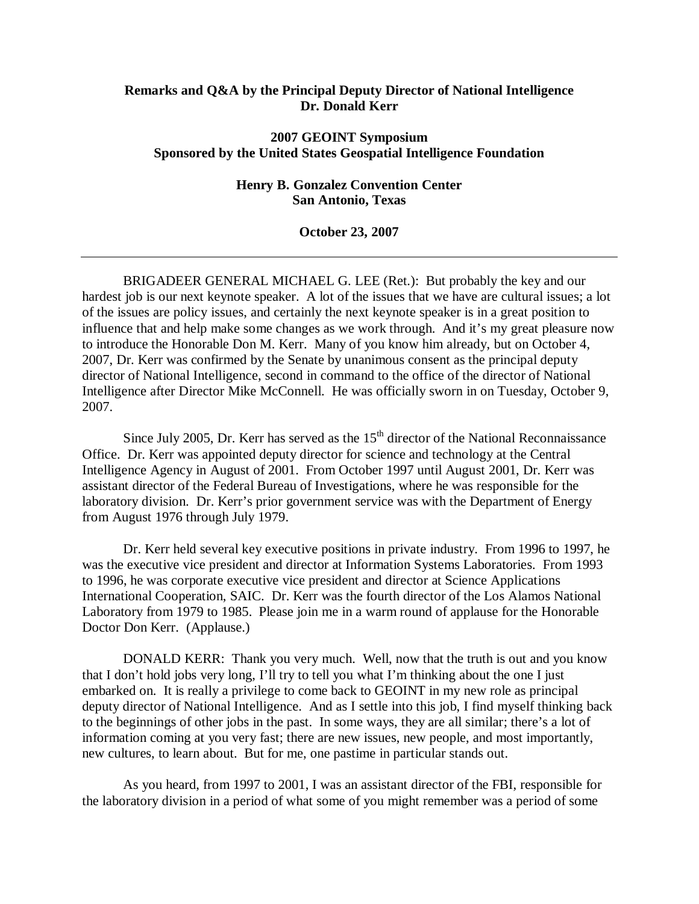## **Remarks and Q&A by the Principal Deputy Director of National Intelligence Dr. Donald Kerr**

### **2007 GEOINT Symposium Sponsored by the United States Geospatial Intelligence Foundation**

### **Henry B. Gonzalez Convention Center San Antonio, Texas**

#### **October 23, 2007**

BRIGADEER GENERAL MICHAEL G. LEE (Ret.): But probably the key and our hardest job is our next keynote speaker. A lot of the issues that we have are cultural issues; a lot of the issues are policy issues, and certainly the next keynote speaker is in a great position to influence that and help make some changes as we work through. And it's my great pleasure now to introduce the Honorable Don M. Kerr. Many of you know him already, but on October 4, 2007, Dr. Kerr was confirmed by the Senate by unanimous consent as the principal deputy director of National Intelligence, second in command to the office of the director of National Intelligence after Director Mike McConnell. He was officially sworn in on Tuesday, October 9, 2007.

Since July 2005, Dr. Kerr has served as the  $15<sup>th</sup>$  director of the National Reconnaissance Office. Dr. Kerr was appointed deputy director for science and technology at the Central Intelligence Agency in August of 2001. From October 1997 until August 2001, Dr. Kerr was assistant director of the Federal Bureau of Investigations, where he was responsible for the laboratory division. Dr. Kerr's prior government service was with the Department of Energy from August 1976 through July 1979.

Dr. Kerr held several key executive positions in private industry. From 1996 to 1997, he was the executive vice president and director at Information Systems Laboratories. From 1993 to 1996, he was corporate executive vice president and director at Science Applications International Cooperation, SAIC. Dr. Kerr was the fourth director of the Los Alamos National Laboratory from 1979 to 1985. Please join me in a warm round of applause for the Honorable Doctor Don Kerr. (Applause.)

 DONALD KERR: Thank you very much. Well, now that the truth is out and you know that I don't hold jobs very long, I'll try to tell you what I'm thinking about the one I just embarked on. It is really a privilege to come back to GEOINT in my new role as principal deputy director of National Intelligence. And as I settle into this job, I find myself thinking back to the beginnings of other jobs in the past. In some ways, they are all similar; there's a lot of information coming at you very fast; there are new issues, new people, and most importantly, new cultures, to learn about. But for me, one pastime in particular stands out.

As you heard, from 1997 to 2001, I was an assistant director of the FBI, responsible for the laboratory division in a period of what some of you might remember was a period of some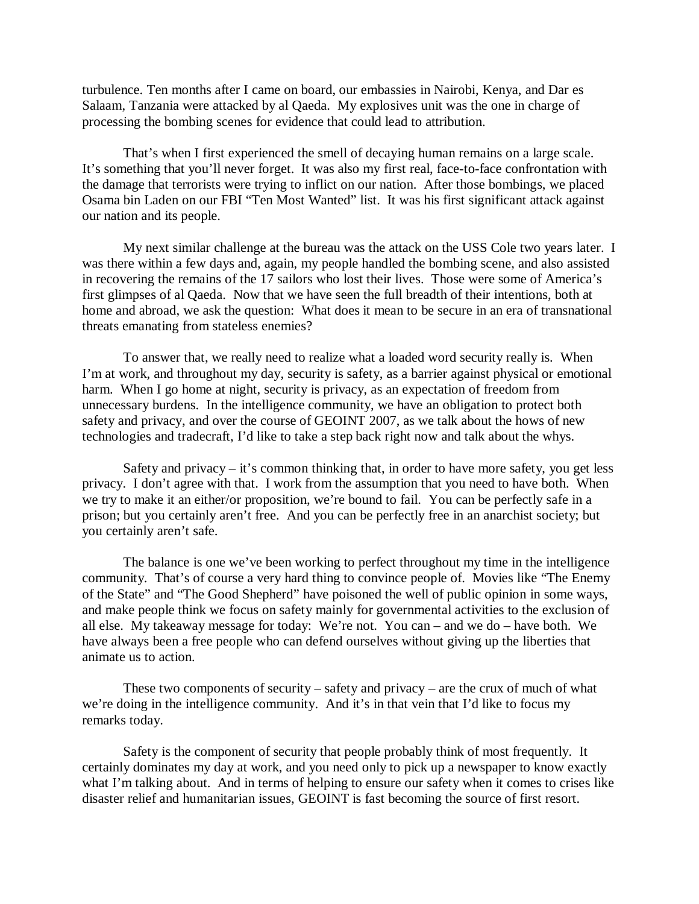turbulence. Ten months after I came on board, our embassies in Nairobi, Kenya, and Dar es Salaam, Tanzania were attacked by al Qaeda. My explosives unit was the one in charge of processing the bombing scenes for evidence that could lead to attribution.

That's when I first experienced the smell of decaying human remains on a large scale. It's something that you'll never forget. It was also my first real, face-to-face confrontation with the damage that terrorists were trying to inflict on our nation. After those bombings, we placed Osama bin Laden on our FBI "Ten Most Wanted" list. It was his first significant attack against our nation and its people.

My next similar challenge at the bureau was the attack on the USS Cole two years later. I was there within a few days and, again, my people handled the bombing scene, and also assisted in recovering the remains of the 17 sailors who lost their lives. Those were some of America's first glimpses of al Qaeda. Now that we have seen the full breadth of their intentions, both at home and abroad, we ask the question: What does it mean to be secure in an era of transnational threats emanating from stateless enemies?

To answer that, we really need to realize what a loaded word security really is. When I'm at work, and throughout my day, security is safety, as a barrier against physical or emotional harm. When I go home at night, security is privacy, as an expectation of freedom from unnecessary burdens. In the intelligence community, we have an obligation to protect both safety and privacy, and over the course of GEOINT 2007, as we talk about the hows of new technologies and tradecraft, I'd like to take a step back right now and talk about the whys.

Safety and privacy  $-$  it's common thinking that, in order to have more safety, you get less privacy. I don't agree with that. I work from the assumption that you need to have both. When we try to make it an either/or proposition, we're bound to fail. You can be perfectly safe in a prison; but you certainly aren't free. And you can be perfectly free in an anarchist society; but you certainly aren't safe.

The balance is one we've been working to perfect throughout my time in the intelligence community. That's of course a very hard thing to convince people of. Movies like "The Enemy of the State" and "The Good Shepherd" have poisoned the well of public opinion in some ways, and make people think we focus on safety mainly for governmental activities to the exclusion of all else. My takeaway message for today: We're not. You can – and we do – have both. We have always been a free people who can defend ourselves without giving up the liberties that animate us to action.

These two components of security – safety and privacy – are the crux of much of what we're doing in the intelligence community. And it's in that vein that I'd like to focus my remarks today.

Safety is the component of security that people probably think of most frequently. It certainly dominates my day at work, and you need only to pick up a newspaper to know exactly what I'm talking about. And in terms of helping to ensure our safety when it comes to crises like disaster relief and humanitarian issues, GEOINT is fast becoming the source of first resort.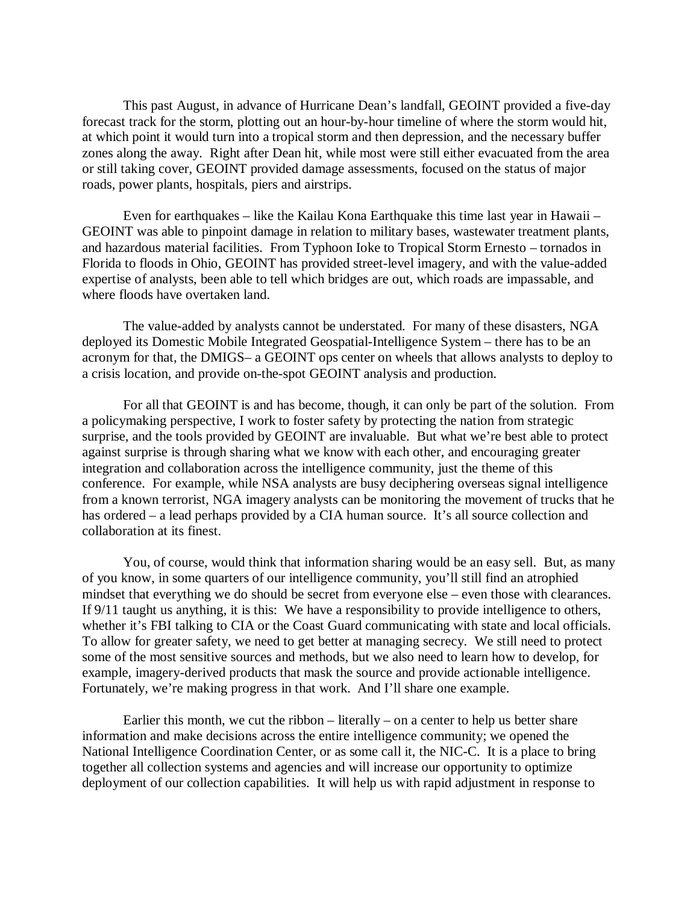This past August, in advance of Hurricane Dean's landfall, GEOINT provided a five-day forecast track for the storm, plotting out an hour-by-hour timeline of where the storm would hit, at which point it would turn into a tropical storm and then depression, and the necessary buffer zones along the away. Right after Dean hit, while most were still either evacuated from the area or still taking cover, GEOINT provided damage assessments, focused on the status of major roads, power plants, hospitals, piers and airstrips.

Even for earthquakes – like the Kailau Kona Earthquake this time last year in Hawaii – GEOINT was able to pinpoint damage in relation to military bases, wastewater treatment plants, and hazardous material facilities. From Typhoon Ioke to Tropical Storm Ernesto – tornados in Florida to floods in Ohio, GEOINT has provided street-level imagery, and with the value-added expertise of analysts, been able to tell which bridges are out, which roads are impassable, and where floods have overtaken land.

The value-added by analysts cannot be understated. For many of these disasters, NGA deployed its Domestic Mobile Integrated Geospatial-Intelligence System – there has to be an acronym for that, the DMIGS– a GEOINT ops center on wheels that allows analysts to deploy to a crisis location, and provide on-the-spot GEOINT analysis and production.

For all that GEOINT is and has become, though, it can only be part of the solution. From a policymaking perspective, I work to foster safety by protecting the nation from strategic surprise, and the tools provided by GEOINT are invaluable. But what we're best able to protect against surprise is through sharing what we know with each other, and encouraging greater integration and collaboration across the intelligence community, just the theme of this conference. For example, while NSA analysts are busy deciphering overseas signal intelligence from a known terrorist, NGA imagery analysts can be monitoring the movement of trucks that he has ordered – a lead perhaps provided by a CIA human source. It's all source collection and collaboration at its finest.

You, of course, would think that information sharing would be an easy sell. But, as many of you know, in some quarters of our intelligence community, you'll still find an atrophied mindset that everything we do should be secret from everyone else – even those with clearances. If 9/11 taught us anything, it is this: We have a responsibility to provide intelligence to others, whether it's FBI talking to CIA or the Coast Guard communicating with state and local officials. To allow for greater safety, we need to get better at managing secrecy. We still need to protect some of the most sensitive sources and methods, but we also need to learn how to develop, for example, imagery-derived products that mask the source and provide actionable intelligence. Fortunately, we're making progress in that work. And I'll share one example.

Earlier this month, we cut the ribbon  $-$  literally  $-$  on a center to help us better share information and make decisions across the entire intelligence community; we opened the National Intelligence Coordination Center, or as some call it, the NIC-C. It is a place to bring together all collection systems and agencies and will increase our opportunity to optimize deployment of our collection capabilities. It will help us with rapid adjustment in response to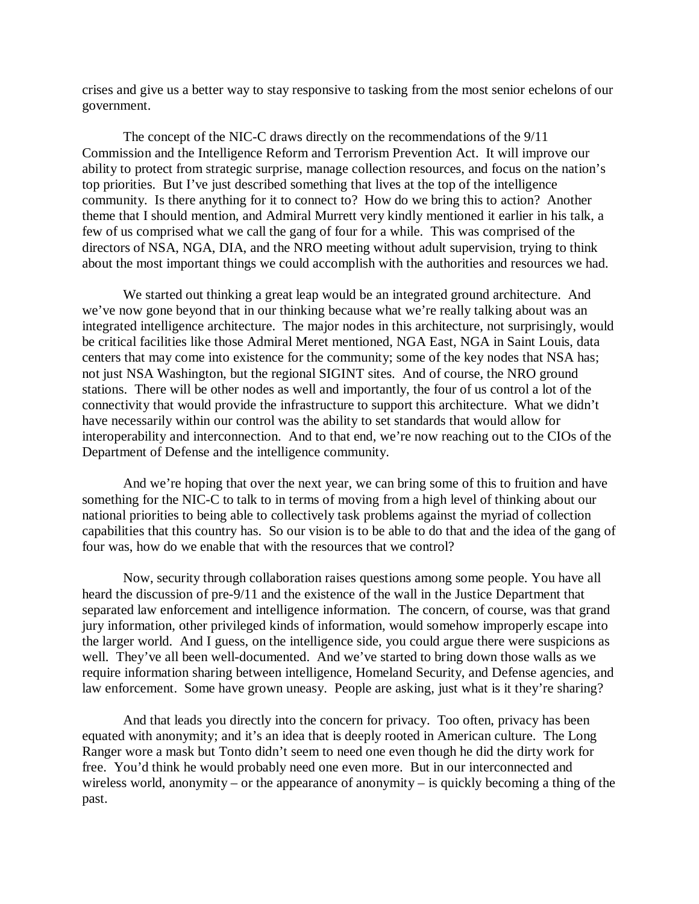crises and give us a better way to stay responsive to tasking from the most senior echelons of our government.

The concept of the NIC-C draws directly on the recommendations of the 9/11 Commission and the Intelligence Reform and Terrorism Prevention Act. It will improve our ability to protect from strategic surprise, manage collection resources, and focus on the nation's top priorities. But I've just described something that lives at the top of the intelligence community. Is there anything for it to connect to? How do we bring this to action? Another theme that I should mention, and Admiral Murrett very kindly mentioned it earlier in his talk, a few of us comprised what we call the gang of four for a while. This was comprised of the directors of NSA, NGA, DIA, and the NRO meeting without adult supervision, trying to think about the most important things we could accomplish with the authorities and resources we had.

We started out thinking a great leap would be an integrated ground architecture. And we've now gone beyond that in our thinking because what we're really talking about was an integrated intelligence architecture. The major nodes in this architecture, not surprisingly, would be critical facilities like those Admiral Meret mentioned, NGA East, NGA in Saint Louis, data centers that may come into existence for the community; some of the key nodes that NSA has; not just NSA Washington, but the regional SIGINT sites. And of course, the NRO ground stations. There will be other nodes as well and importantly, the four of us control a lot of the connectivity that would provide the infrastructure to support this architecture. What we didn't have necessarily within our control was the ability to set standards that would allow for interoperability and interconnection. And to that end, we're now reaching out to the CIOs of the Department of Defense and the intelligence community.

And we're hoping that over the next year, we can bring some of this to fruition and have something for the NIC-C to talk to in terms of moving from a high level of thinking about our national priorities to being able to collectively task problems against the myriad of collection capabilities that this country has. So our vision is to be able to do that and the idea of the gang of four was, how do we enable that with the resources that we control?

Now, security through collaboration raises questions among some people. You have all heard the discussion of pre-9/11 and the existence of the wall in the Justice Department that separated law enforcement and intelligence information. The concern, of course, was that grand jury information, other privileged kinds of information, would somehow improperly escape into the larger world. And I guess, on the intelligence side, you could argue there were suspicions as well. They've all been well-documented. And we've started to bring down those walls as we require information sharing between intelligence, Homeland Security, and Defense agencies, and law enforcement. Some have grown uneasy. People are asking, just what is it they're sharing?

And that leads you directly into the concern for privacy. Too often, privacy has been equated with anonymity; and it's an idea that is deeply rooted in American culture. The Long Ranger wore a mask but Tonto didn't seem to need one even though he did the dirty work for free. You'd think he would probably need one even more. But in our interconnected and wireless world, anonymity – or the appearance of anonymity – is quickly becoming a thing of the past.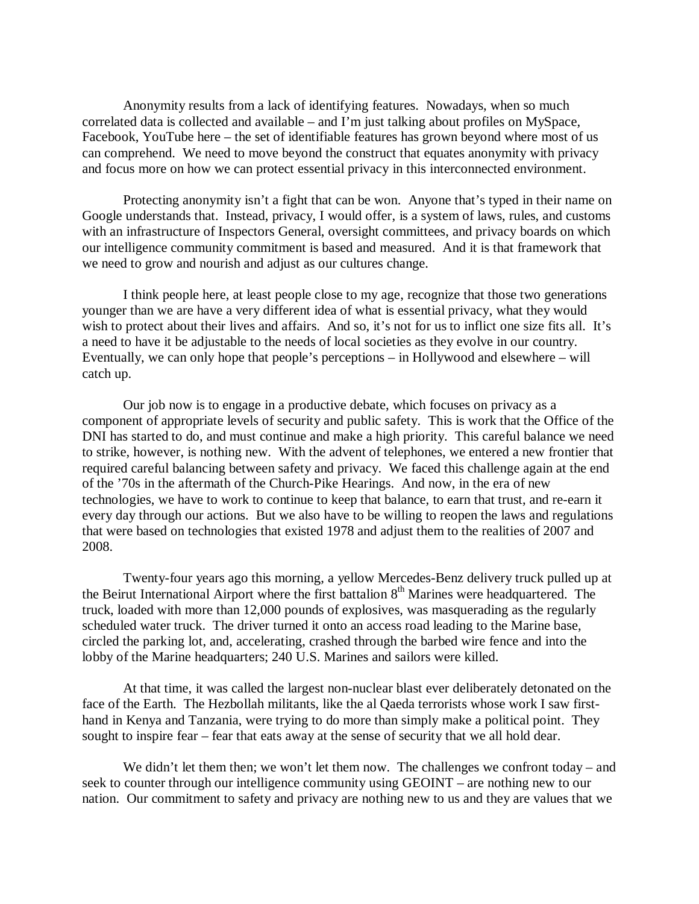Anonymity results from a lack of identifying features. Nowadays, when so much correlated data is collected and available – and I'm just talking about profiles on MySpace, Facebook, YouTube here – the set of identifiable features has grown beyond where most of us can comprehend. We need to move beyond the construct that equates anonymity with privacy and focus more on how we can protect essential privacy in this interconnected environment.

Protecting anonymity isn't a fight that can be won. Anyone that's typed in their name on Google understands that. Instead, privacy, I would offer, is a system of laws, rules, and customs with an infrastructure of Inspectors General, oversight committees, and privacy boards on which our intelligence community commitment is based and measured. And it is that framework that we need to grow and nourish and adjust as our cultures change.

I think people here, at least people close to my age, recognize that those two generations younger than we are have a very different idea of what is essential privacy, what they would wish to protect about their lives and affairs. And so, it's not for us to inflict one size fits all. It's a need to have it be adjustable to the needs of local societies as they evolve in our country. Eventually, we can only hope that people's perceptions – in Hollywood and elsewhere – will catch up.

Our job now is to engage in a productive debate, which focuses on privacy as a component of appropriate levels of security and public safety. This is work that the Office of the DNI has started to do, and must continue and make a high priority. This careful balance we need to strike, however, is nothing new. With the advent of telephones, we entered a new frontier that required careful balancing between safety and privacy. We faced this challenge again at the end of the '70s in the aftermath of the Church-Pike Hearings. And now, in the era of new technologies, we have to work to continue to keep that balance, to earn that trust, and re-earn it every day through our actions. But we also have to be willing to reopen the laws and regulations that were based on technologies that existed 1978 and adjust them to the realities of 2007 and 2008.

Twenty-four years ago this morning, a yellow Mercedes-Benz delivery truck pulled up at the Beirut International Airport where the first battalion 8<sup>th</sup> Marines were headquartered. The truck, loaded with more than 12,000 pounds of explosives, was masquerading as the regularly scheduled water truck. The driver turned it onto an access road leading to the Marine base, circled the parking lot, and, accelerating, crashed through the barbed wire fence and into the lobby of the Marine headquarters; 240 U.S. Marines and sailors were killed.

At that time, it was called the largest non-nuclear blast ever deliberately detonated on the face of the Earth. The Hezbollah militants, like the al Qaeda terrorists whose work I saw firsthand in Kenya and Tanzania, were trying to do more than simply make a political point. They sought to inspire fear – fear that eats away at the sense of security that we all hold dear.

We didn't let them then; we won't let them now. The challenges we confront today – and seek to counter through our intelligence community using GEOINT – are nothing new to our nation. Our commitment to safety and privacy are nothing new to us and they are values that we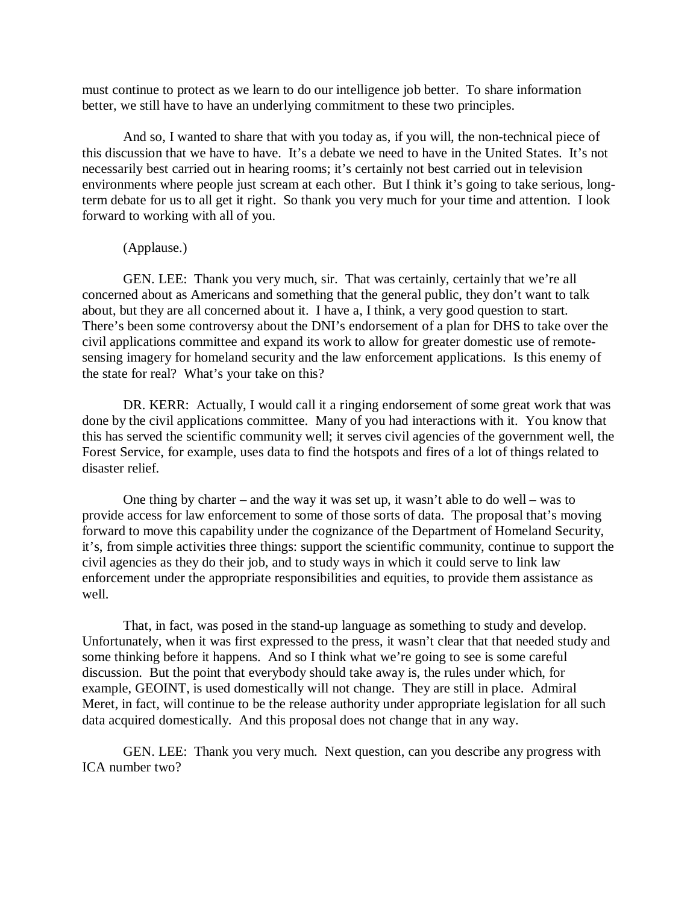must continue to protect as we learn to do our intelligence job better. To share information better, we still have to have an underlying commitment to these two principles.

And so, I wanted to share that with you today as, if you will, the non-technical piece of this discussion that we have to have. It's a debate we need to have in the United States. It's not necessarily best carried out in hearing rooms; it's certainly not best carried out in television environments where people just scream at each other. But I think it's going to take serious, longterm debate for us to all get it right. So thank you very much for your time and attention. I look forward to working with all of you.

# (Applause.)

GEN. LEE: Thank you very much, sir. That was certainly, certainly that we're all concerned about as Americans and something that the general public, they don't want to talk about, but they are all concerned about it. I have a, I think, a very good question to start. There's been some controversy about the DNI's endorsement of a plan for DHS to take over the civil applications committee and expand its work to allow for greater domestic use of remotesensing imagery for homeland security and the law enforcement applications. Is this enemy of the state for real? What's your take on this?

DR. KERR: Actually, I would call it a ringing endorsement of some great work that was done by the civil applications committee. Many of you had interactions with it. You know that this has served the scientific community well; it serves civil agencies of the government well, the Forest Service, for example, uses data to find the hotspots and fires of a lot of things related to disaster relief.

One thing by charter – and the way it was set up, it wasn't able to do well – was to provide access for law enforcement to some of those sorts of data. The proposal that's moving forward to move this capability under the cognizance of the Department of Homeland Security, it's, from simple activities three things: support the scientific community, continue to support the civil agencies as they do their job, and to study ways in which it could serve to link law enforcement under the appropriate responsibilities and equities, to provide them assistance as well.

That, in fact, was posed in the stand-up language as something to study and develop. Unfortunately, when it was first expressed to the press, it wasn't clear that that needed study and some thinking before it happens. And so I think what we're going to see is some careful discussion. But the point that everybody should take away is, the rules under which, for example, GEOINT, is used domestically will not change. They are still in place. Admiral Meret, in fact, will continue to be the release authority under appropriate legislation for all such data acquired domestically. And this proposal does not change that in any way.

GEN. LEE: Thank you very much. Next question, can you describe any progress with ICA number two?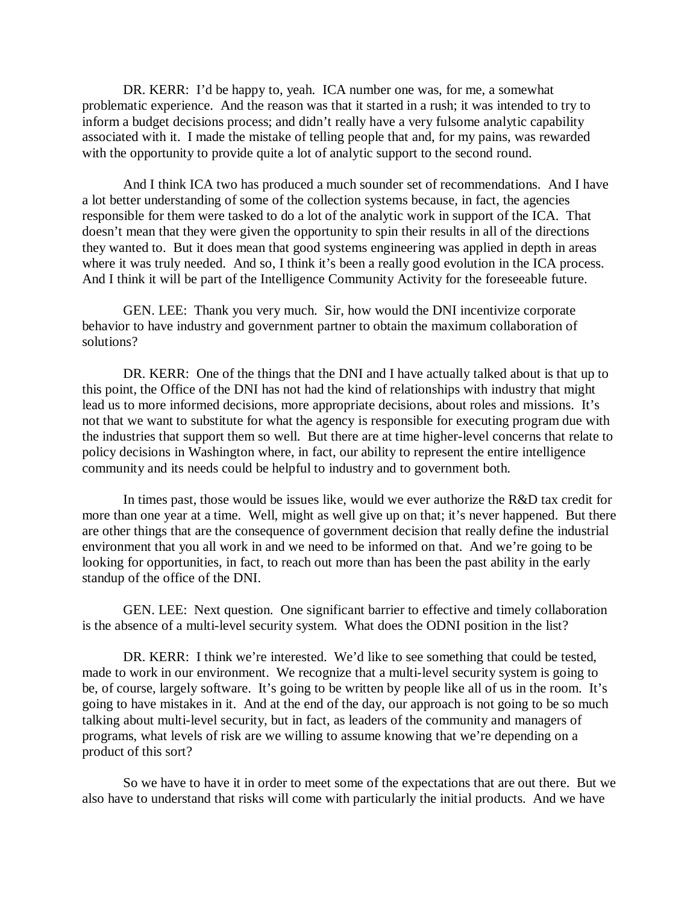DR. KERR: I'd be happy to, yeah. ICA number one was, for me, a somewhat problematic experience. And the reason was that it started in a rush; it was intended to try to inform a budget decisions process; and didn't really have a very fulsome analytic capability associated with it. I made the mistake of telling people that and, for my pains, was rewarded with the opportunity to provide quite a lot of analytic support to the second round.

And I think ICA two has produced a much sounder set of recommendations. And I have a lot better understanding of some of the collection systems because, in fact, the agencies responsible for them were tasked to do a lot of the analytic work in support of the ICA. That doesn't mean that they were given the opportunity to spin their results in all of the directions they wanted to. But it does mean that good systems engineering was applied in depth in areas where it was truly needed. And so, I think it's been a really good evolution in the ICA process. And I think it will be part of the Intelligence Community Activity for the foreseeable future.

GEN. LEE: Thank you very much. Sir, how would the DNI incentivize corporate behavior to have industry and government partner to obtain the maximum collaboration of solutions?

DR. KERR: One of the things that the DNI and I have actually talked about is that up to this point, the Office of the DNI has not had the kind of relationships with industry that might lead us to more informed decisions, more appropriate decisions, about roles and missions. It's not that we want to substitute for what the agency is responsible for executing program due with the industries that support them so well. But there are at time higher-level concerns that relate to policy decisions in Washington where, in fact, our ability to represent the entire intelligence community and its needs could be helpful to industry and to government both.

In times past, those would be issues like, would we ever authorize the R&D tax credit for more than one year at a time. Well, might as well give up on that; it's never happened. But there are other things that are the consequence of government decision that really define the industrial environment that you all work in and we need to be informed on that. And we're going to be looking for opportunities, in fact, to reach out more than has been the past ability in the early standup of the office of the DNI.

GEN. LEE: Next question. One significant barrier to effective and timely collaboration is the absence of a multi-level security system. What does the ODNI position in the list?

DR. KERR: I think we're interested. We'd like to see something that could be tested, made to work in our environment. We recognize that a multi-level security system is going to be, of course, largely software. It's going to be written by people like all of us in the room. It's going to have mistakes in it. And at the end of the day, our approach is not going to be so much talking about multi-level security, but in fact, as leaders of the community and managers of programs, what levels of risk are we willing to assume knowing that we're depending on a product of this sort?

So we have to have it in order to meet some of the expectations that are out there. But we also have to understand that risks will come with particularly the initial products. And we have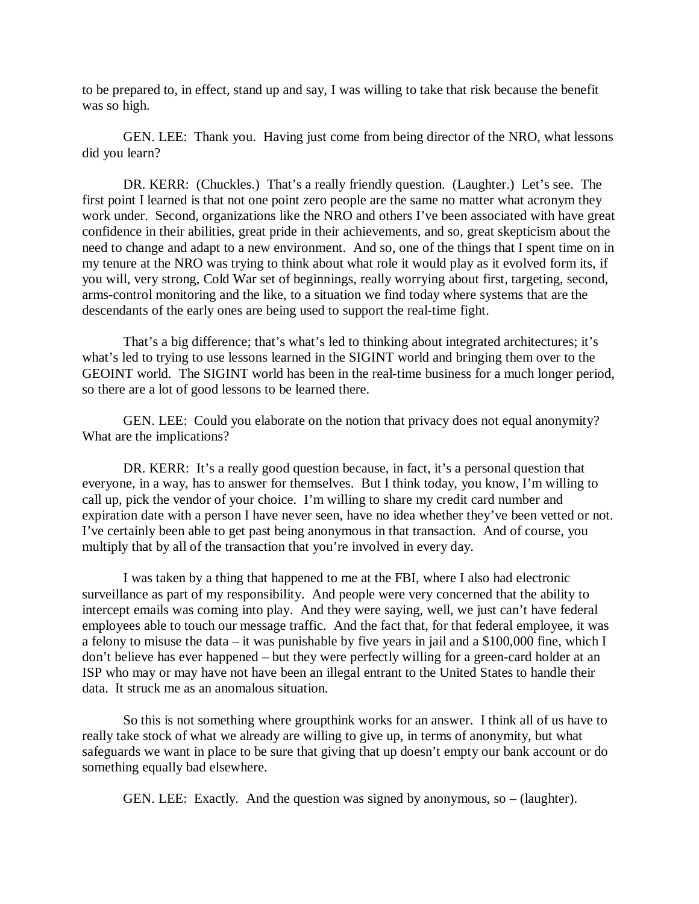to be prepared to, in effect, stand up and say, I was willing to take that risk because the benefit was so high.

GEN. LEE: Thank you. Having just come from being director of the NRO, what lessons did you learn?

DR. KERR: (Chuckles.) That's a really friendly question. (Laughter.) Let's see. The first point I learned is that not one point zero people are the same no matter what acronym they work under. Second, organizations like the NRO and others I've been associated with have great confidence in their abilities, great pride in their achievements, and so, great skepticism about the need to change and adapt to a new environment. And so, one of the things that I spent time on in my tenure at the NRO was trying to think about what role it would play as it evolved form its, if you will, very strong, Cold War set of beginnings, really worrying about first, targeting, second, arms-control monitoring and the like, to a situation we find today where systems that are the descendants of the early ones are being used to support the real-time fight.

That's a big difference; that's what's led to thinking about integrated architectures; it's what's led to trying to use lessons learned in the SIGINT world and bringing them over to the GEOINT world. The SIGINT world has been in the real-time business for a much longer period, so there are a lot of good lessons to be learned there.

GEN. LEE: Could you elaborate on the notion that privacy does not equal anonymity? What are the implications?

DR. KERR: It's a really good question because, in fact, it's a personal question that everyone, in a way, has to answer for themselves. But I think today, you know, I'm willing to call up, pick the vendor of your choice. I'm willing to share my credit card number and expiration date with a person I have never seen, have no idea whether they've been vetted or not. I've certainly been able to get past being anonymous in that transaction. And of course, you multiply that by all of the transaction that you're involved in every day.

I was taken by a thing that happened to me at the FBI, where I also had electronic surveillance as part of my responsibility. And people were very concerned that the ability to intercept emails was coming into play. And they were saying, well, we just can't have federal employees able to touch our message traffic. And the fact that, for that federal employee, it was a felony to misuse the data – it was punishable by five years in jail and a \$100,000 fine, which I don't believe has ever happened – but they were perfectly willing for a green-card holder at an ISP who may or may have not have been an illegal entrant to the United States to handle their data. It struck me as an anomalous situation.

So this is not something where groupthink works for an answer. I think all of us have to really take stock of what we already are willing to give up, in terms of anonymity, but what safeguards we want in place to be sure that giving that up doesn't empty our bank account or do something equally bad elsewhere.

GEN. LEE: Exactly. And the question was signed by anonymous, so – (laughter).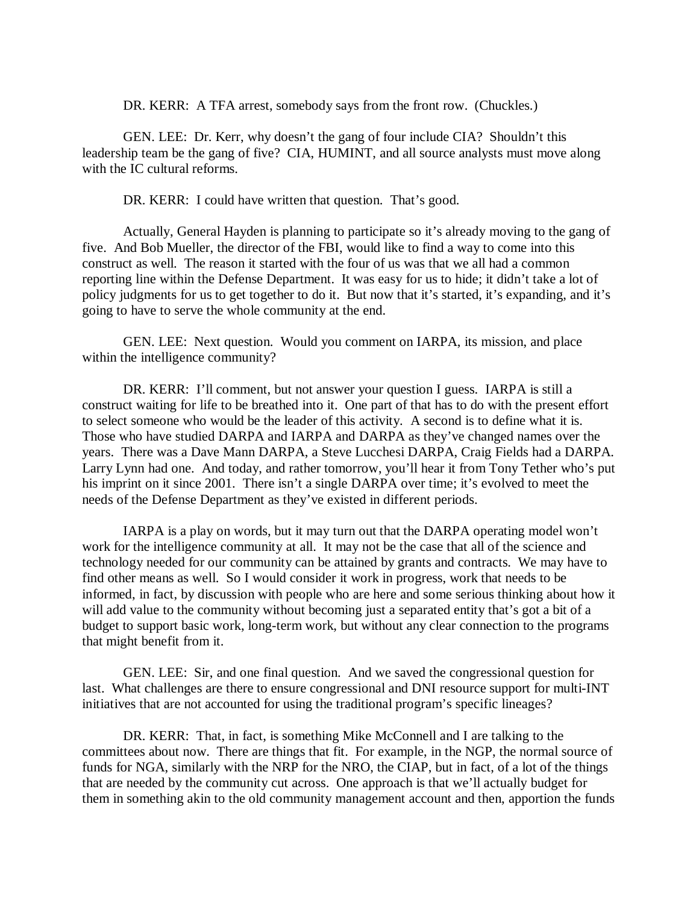DR. KERR: A TFA arrest, somebody says from the front row. (Chuckles.)

GEN. LEE: Dr. Kerr, why doesn't the gang of four include CIA? Shouldn't this leadership team be the gang of five? CIA, HUMINT, and all source analysts must move along with the IC cultural reforms.

DR. KERR: I could have written that question. That's good.

Actually, General Hayden is planning to participate so it's already moving to the gang of five. And Bob Mueller, the director of the FBI, would like to find a way to come into this construct as well. The reason it started with the four of us was that we all had a common reporting line within the Defense Department. It was easy for us to hide; it didn't take a lot of policy judgments for us to get together to do it. But now that it's started, it's expanding, and it's going to have to serve the whole community at the end.

GEN. LEE: Next question. Would you comment on IARPA, its mission, and place within the intelligence community?

DR. KERR: I'll comment, but not answer your question I guess. IARPA is still a construct waiting for life to be breathed into it. One part of that has to do with the present effort to select someone who would be the leader of this activity. A second is to define what it is. Those who have studied DARPA and IARPA and DARPA as they've changed names over the years. There was a Dave Mann DARPA, a Steve Lucchesi DARPA, Craig Fields had a DARPA. Larry Lynn had one. And today, and rather tomorrow, you'll hear it from Tony Tether who's put his imprint on it since 2001. There isn't a single DARPA over time; it's evolved to meet the needs of the Defense Department as they've existed in different periods.

IARPA is a play on words, but it may turn out that the DARPA operating model won't work for the intelligence community at all. It may not be the case that all of the science and technology needed for our community can be attained by grants and contracts. We may have to find other means as well. So I would consider it work in progress, work that needs to be informed, in fact, by discussion with people who are here and some serious thinking about how it will add value to the community without becoming just a separated entity that's got a bit of a budget to support basic work, long-term work, but without any clear connection to the programs that might benefit from it.

GEN. LEE: Sir, and one final question. And we saved the congressional question for last. What challenges are there to ensure congressional and DNI resource support for multi-INT initiatives that are not accounted for using the traditional program's specific lineages?

DR. KERR: That, in fact, is something Mike McConnell and I are talking to the committees about now. There are things that fit. For example, in the NGP, the normal source of funds for NGA, similarly with the NRP for the NRO, the CIAP, but in fact, of a lot of the things that are needed by the community cut across. One approach is that we'll actually budget for them in something akin to the old community management account and then, apportion the funds